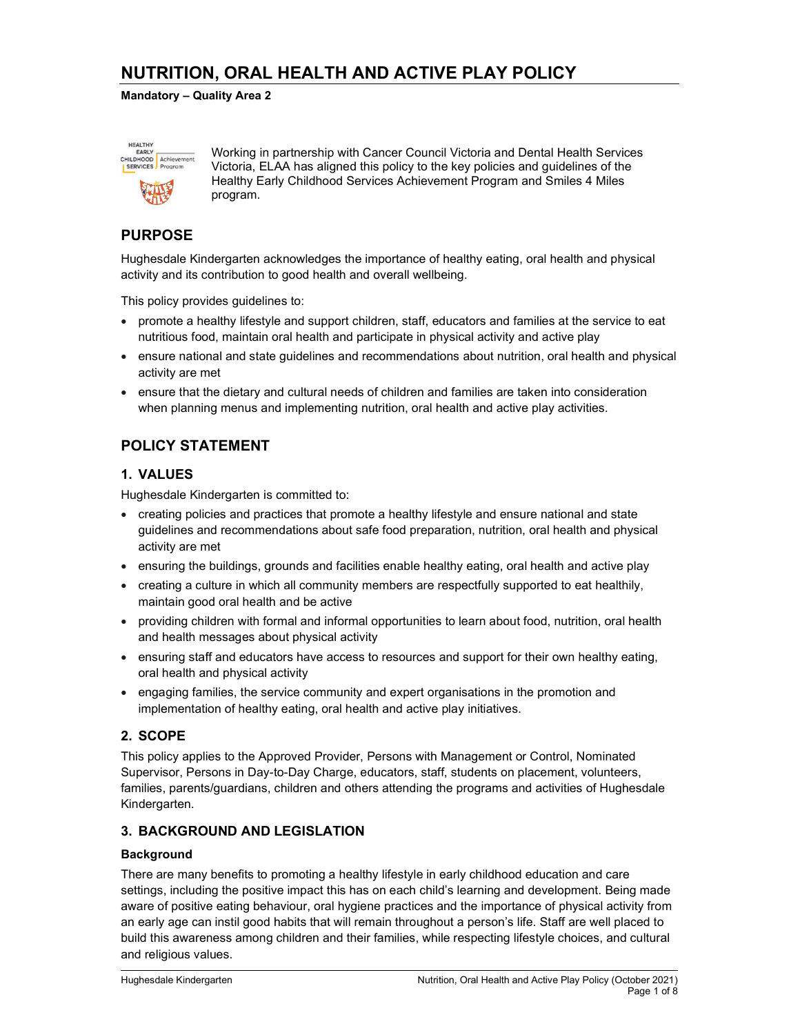# NUTRITION, ORAL HEALTH AND ACTIVE PLAY POLICY

Mandatory – Quality Area 2



Working in partnership with Cancer Council Victoria and Dental Health Services Victoria, ELAA has aligned this policy to the key policies and guidelines of the Healthy Early Childhood Services Achievement Program and Smiles 4 Miles program.

## PURPOSE

Hughesdale Kindergarten acknowledges the importance of healthy eating, oral health and physical activity and its contribution to good health and overall wellbeing.

This policy provides guidelines to:

- promote a healthy lifestyle and support children, staff, educators and families at the service to eat nutritious food, maintain oral health and participate in physical activity and active play
- ensure national and state guidelines and recommendations about nutrition, oral health and physical activity are met
- ensure that the dietary and cultural needs of children and families are taken into consideration when planning menus and implementing nutrition, oral health and active play activities.

## POLICY STATEMENT

### 1. VALUES

Hughesdale Kindergarten is committed to:

- creating policies and practices that promote a healthy lifestyle and ensure national and state guidelines and recommendations about safe food preparation, nutrition, oral health and physical activity are met
- ensuring the buildings, grounds and facilities enable healthy eating, oral health and active play
- creating a culture in which all community members are respectfully supported to eat healthily, maintain good oral health and be active
- providing children with formal and informal opportunities to learn about food, nutrition, oral health and health messages about physical activity
- ensuring staff and educators have access to resources and support for their own healthy eating, oral health and physical activity
- engaging families, the service community and expert organisations in the promotion and implementation of healthy eating, oral health and active play initiatives.

### 2. SCOPE

This policy applies to the Approved Provider, Persons with Management or Control, Nominated Supervisor, Persons in Day-to-Day Charge, educators, staff, students on placement, volunteers, families, parents/guardians, children and others attending the programs and activities of Hughesdale Kindergarten.

#### 3. BACKGROUND AND LEGISLATION

#### **Background**

There are many benefits to promoting a healthy lifestyle in early childhood education and care settings, including the positive impact this has on each child's learning and development. Being made aware of positive eating behaviour, oral hygiene practices and the importance of physical activity from an early age can instil good habits that will remain throughout a person's life. Staff are well placed to build this awareness among children and their families, while respecting lifestyle choices, and cultural and religious values.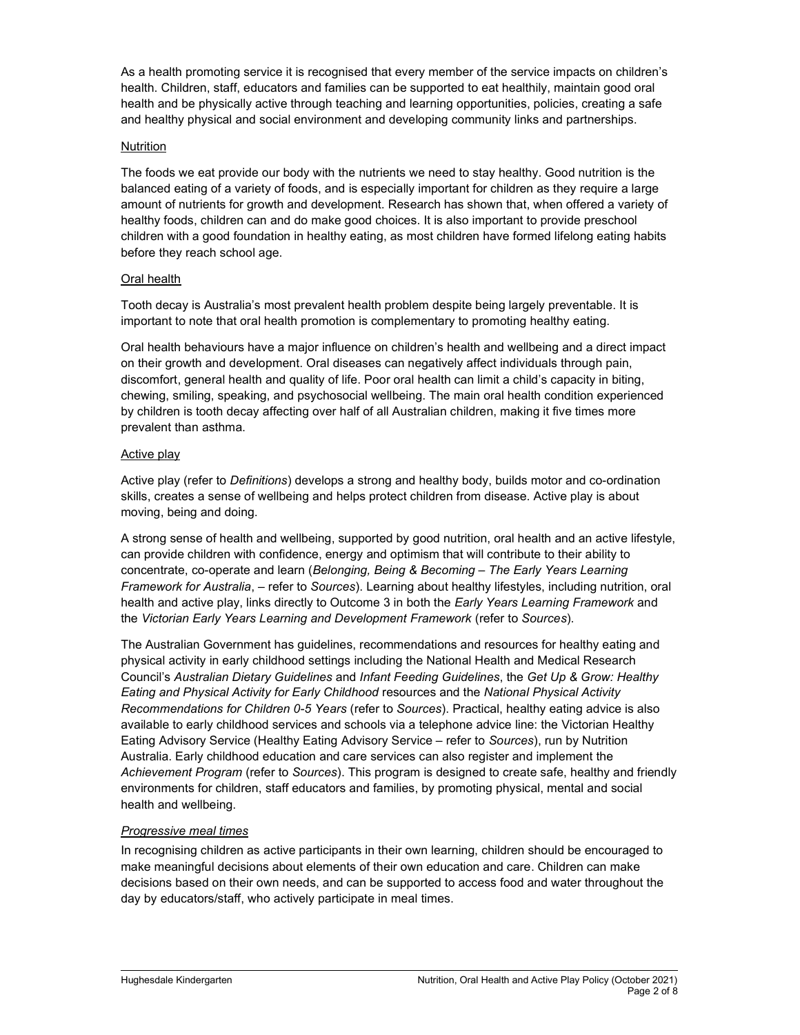As a health promoting service it is recognised that every member of the service impacts on children's health. Children, staff, educators and families can be supported to eat healthily, maintain good oral health and be physically active through teaching and learning opportunities, policies, creating a safe and healthy physical and social environment and developing community links and partnerships.

#### Nutrition

The foods we eat provide our body with the nutrients we need to stay healthy. Good nutrition is the balanced eating of a variety of foods, and is especially important for children as they require a large amount of nutrients for growth and development. Research has shown that, when offered a variety of healthy foods, children can and do make good choices. It is also important to provide preschool children with a good foundation in healthy eating, as most children have formed lifelong eating habits before they reach school age.

#### Oral health

Tooth decay is Australia's most prevalent health problem despite being largely preventable. It is important to note that oral health promotion is complementary to promoting healthy eating.

Oral health behaviours have a major influence on children's health and wellbeing and a direct impact on their growth and development. Oral diseases can negatively affect individuals through pain, discomfort, general health and quality of life. Poor oral health can limit a child's capacity in biting, chewing, smiling, speaking, and psychosocial wellbeing. The main oral health condition experienced by children is tooth decay affecting over half of all Australian children, making it five times more prevalent than asthma.

#### Active play

Active play (refer to Definitions) develops a strong and healthy body, builds motor and co-ordination skills, creates a sense of wellbeing and helps protect children from disease. Active play is about moving, being and doing.

A strong sense of health and wellbeing, supported by good nutrition, oral health and an active lifestyle, can provide children with confidence, energy and optimism that will contribute to their ability to concentrate, co-operate and learn (Belonging, Being & Becoming – The Early Years Learning Framework for Australia, – refer to Sources). Learning about healthy lifestyles, including nutrition, oral health and active play, links directly to Outcome 3 in both the Early Years Learning Framework and the Victorian Early Years Learning and Development Framework (refer to Sources).

The Australian Government has guidelines, recommendations and resources for healthy eating and physical activity in early childhood settings including the National Health and Medical Research Council's Australian Dietary Guidelines and Infant Feeding Guidelines, the Get Up & Grow: Healthy Eating and Physical Activity for Early Childhood resources and the National Physical Activity Recommendations for Children 0-5 Years (refer to Sources). Practical, healthy eating advice is also available to early childhood services and schools via a telephone advice line: the Victorian Healthy Eating Advisory Service (Healthy Eating Advisory Service – refer to Sources), run by Nutrition Australia. Early childhood education and care services can also register and implement the Achievement Program (refer to Sources). This program is designed to create safe, healthy and friendly environments for children, staff educators and families, by promoting physical, mental and social health and wellbeing.

#### Progressive meal times

In recognising children as active participants in their own learning, children should be encouraged to make meaningful decisions about elements of their own education and care. Children can make decisions based on their own needs, and can be supported to access food and water throughout the day by educators/staff, who actively participate in meal times.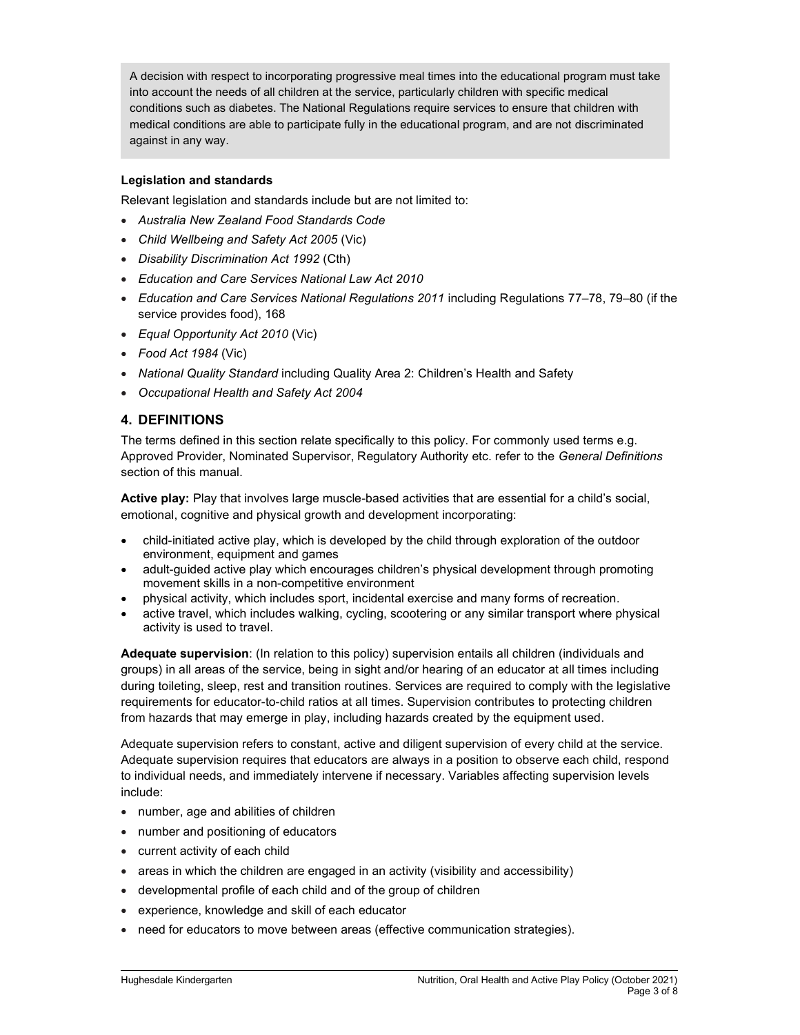A decision with respect to incorporating progressive meal times into the educational program must take into account the needs of all children at the service, particularly children with specific medical conditions such as diabetes. The National Regulations require services to ensure that children with medical conditions are able to participate fully in the educational program, and are not discriminated against in any way.

### Legislation and standards

Relevant legislation and standards include but are not limited to:

- Australia New Zealand Food Standards Code
- Child Wellbeing and Safety Act 2005 (Vic)
- Disability Discrimination Act 1992 (Cth)
- Education and Care Services National Law Act 2010
- Education and Care Services National Regulations 2011 including Regulations 77–78, 79–80 (if the service provides food), 168
- Equal Opportunity Act 2010 (Vic)
- Food Act 1984 (Vic)
- National Quality Standard including Quality Area 2: Children's Health and Safety
- Occupational Health and Safety Act 2004

### 4. DEFINITIONS

The terms defined in this section relate specifically to this policy. For commonly used terms e.g. Approved Provider, Nominated Supervisor, Regulatory Authority etc. refer to the General Definitions section of this manual.

Active play: Play that involves large muscle-based activities that are essential for a child's social, emotional, cognitive and physical growth and development incorporating:

- child-initiated active play, which is developed by the child through exploration of the outdoor environment, equipment and games
- adult-guided active play which encourages children's physical development through promoting movement skills in a non-competitive environment
- physical activity, which includes sport, incidental exercise and many forms of recreation.
- active travel, which includes walking, cycling, scootering or any similar transport where physical activity is used to travel.

Adequate supervision: (In relation to this policy) supervision entails all children (individuals and groups) in all areas of the service, being in sight and/or hearing of an educator at all times including during toileting, sleep, rest and transition routines. Services are required to comply with the legislative requirements for educator-to-child ratios at all times. Supervision contributes to protecting children from hazards that may emerge in play, including hazards created by the equipment used.

Adequate supervision refers to constant, active and diligent supervision of every child at the service. Adequate supervision requires that educators are always in a position to observe each child, respond to individual needs, and immediately intervene if necessary. Variables affecting supervision levels include:

- number, age and abilities of children
- number and positioning of educators
- current activity of each child
- $\bullet$  areas in which the children are engaged in an activity (visibility and accessibility)
- developmental profile of each child and of the group of children
- experience, knowledge and skill of each educator
- need for educators to move between areas (effective communication strategies).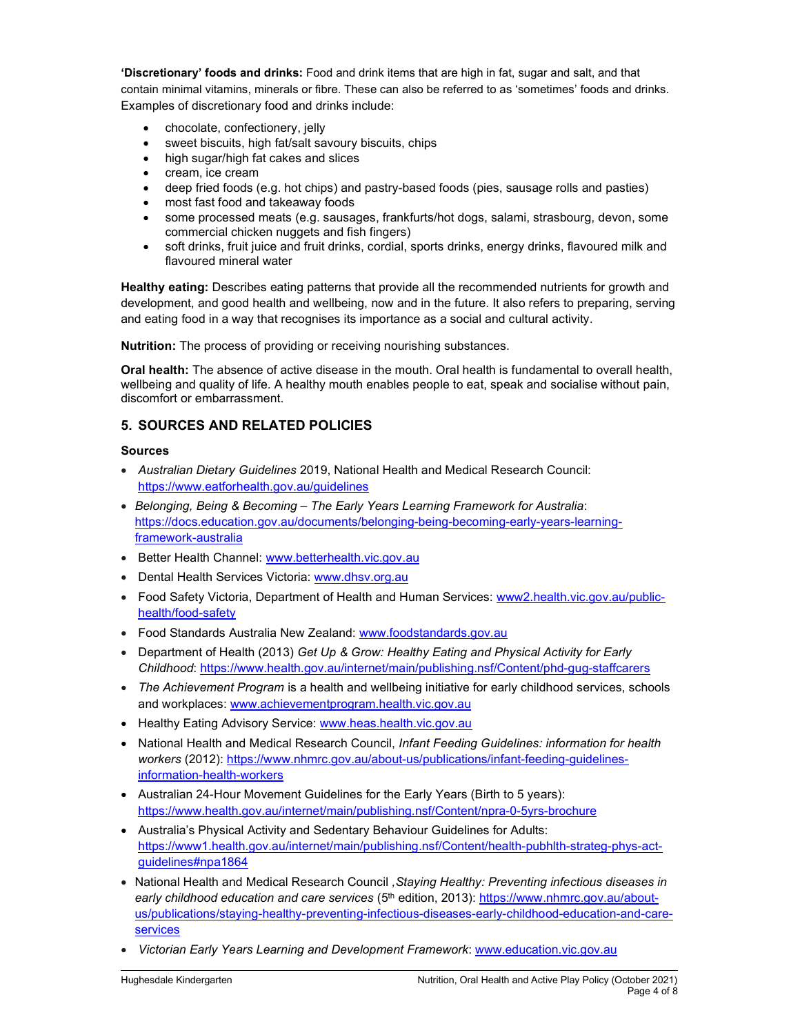'Discretionary' foods and drinks: Food and drink items that are high in fat, sugar and salt, and that contain minimal vitamins, minerals or fibre. These can also be referred to as 'sometimes' foods and drinks. Examples of discretionary food and drinks include:

- chocolate, confectionery, jelly
- sweet biscuits, high fat/salt savoury biscuits, chips
- high sugar/high fat cakes and slices
- cream, ice cream
- deep fried foods (e.g. hot chips) and pastry-based foods (pies, sausage rolls and pasties)
- most fast food and takeaway foods
- some processed meats (e.g. sausages, frankfurts/hot dogs, salami, strasbourg, devon, some commercial chicken nuggets and fish fingers)
- soft drinks, fruit juice and fruit drinks, cordial, sports drinks, energy drinks, flavoured milk and flavoured mineral water

Healthy eating: Describes eating patterns that provide all the recommended nutrients for growth and development, and good health and wellbeing, now and in the future. It also refers to preparing, serving and eating food in a way that recognises its importance as a social and cultural activity.

Nutrition: The process of providing or receiving nourishing substances.

Oral health: The absence of active disease in the mouth. Oral health is fundamental to overall health, wellbeing and quality of life. A healthy mouth enables people to eat, speak and socialise without pain, discomfort or embarrassment.

### 5. SOURCES AND RELATED POLICIES

#### Sources

- Australian Dietary Guidelines 2019, National Health and Medical Research Council: https://www.eatforhealth.gov.au/guidelines
- Belonging, Being & Becoming The Early Years Learning Framework for Australia: https://docs.education.gov.au/documents/belonging-being-becoming-early-years-learningframework-australia
- Better Health Channel: www.betterhealth.vic.gov.au
- Dental Health Services Victoria: www.dhsv.org.au
- Food Safety Victoria, Department of Health and Human Services: www2.health.vic.gov.au/publichealth/food-safety
- Food Standards Australia New Zealand: www.foodstandards.gov.au
- Department of Health (2013) Get Up & Grow: Healthy Eating and Physical Activity for Early Childhood: https://www.health.gov.au/internet/main/publishing.nsf/Content/phd-gug-staffcarers
- The Achievement Program is a health and wellbeing initiative for early childhood services, schools and workplaces: www.achievementprogram.health.vic.gov.au
- Healthy Eating Advisory Service: www.heas.health.vic.gov.au
- National Health and Medical Research Council, Infant Feeding Guidelines: information for health workers (2012): https://www.nhmrc.gov.au/about-us/publications/infant-feeding-guidelinesinformation-health-workers
- Australian 24-Hour Movement Guidelines for the Early Years (Birth to 5 years): https://www.health.gov.au/internet/main/publishing.nsf/Content/npra-0-5yrs-brochure
- Australia's Physical Activity and Sedentary Behaviour Guidelines for Adults: https://www1.health.gov.au/internet/main/publishing.nsf/Content/health-pubhlth-strateg-phys-actguidelines#npa1864
- National Health and Medical Research Council , Staying Healthy: Preventing infectious diseases in early childhood education and care services (5<sup>th</sup> edition, 2013): https://www.nhmrc.gov.au/aboutus/publications/staying-healthy-preventing-infectious-diseases-early-childhood-education-and-careservices
- Victorian Early Years Learning and Development Framework: www.education.vic.gov.au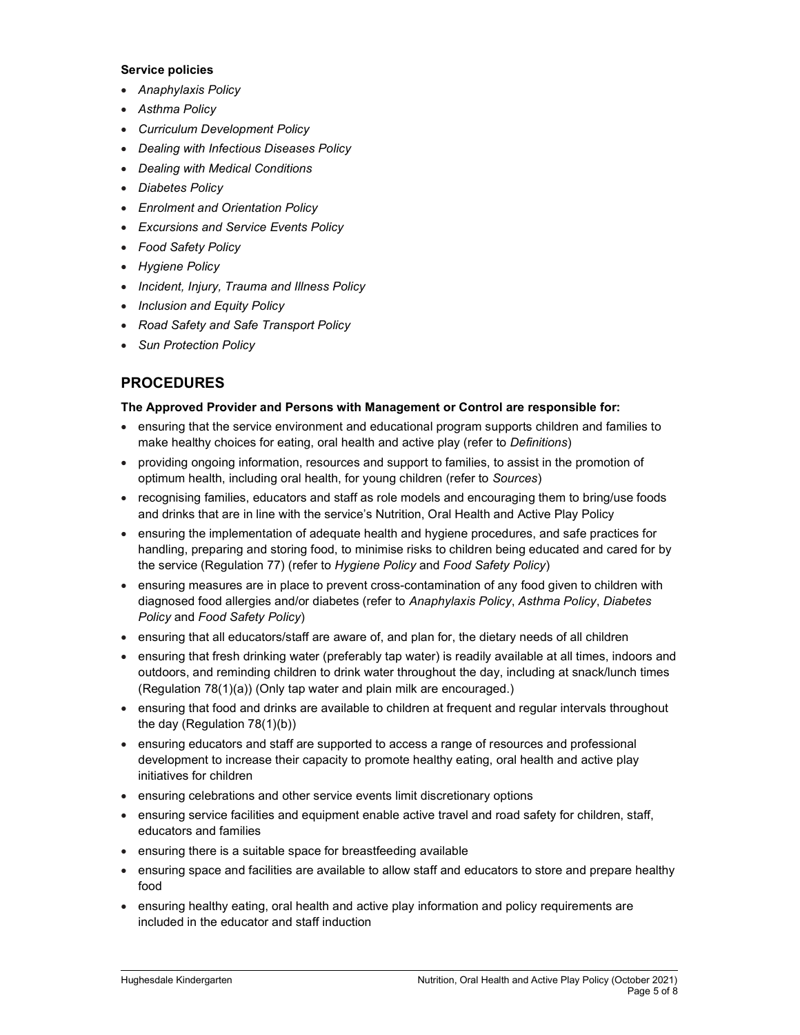#### Service policies

- Anaphylaxis Policy
- Asthma Policy
- Curriculum Development Policy
- Dealing with Infectious Diseases Policy
- Dealing with Medical Conditions
- Diabetes Policy
- Enrolment and Orientation Policy
- Excursions and Service Events Policy
- Food Safety Policy
- Hygiene Policy
- Incident, Injury, Trauma and Illness Policy
- Inclusion and Equity Policy
- Road Safety and Safe Transport Policy
- Sun Protection Policy

## PROCEDURES

#### The Approved Provider and Persons with Management or Control are responsible for:

- ensuring that the service environment and educational program supports children and families to make healthy choices for eating, oral health and active play (refer to Definitions)
- providing ongoing information, resources and support to families, to assist in the promotion of optimum health, including oral health, for young children (refer to Sources)
- recognising families, educators and staff as role models and encouraging them to bring/use foods and drinks that are in line with the service's Nutrition, Oral Health and Active Play Policy
- ensuring the implementation of adequate health and hygiene procedures, and safe practices for handling, preparing and storing food, to minimise risks to children being educated and cared for by the service (Regulation 77) (refer to Hygiene Policy and Food Safety Policy)
- ensuring measures are in place to prevent cross-contamination of any food given to children with diagnosed food allergies and/or diabetes (refer to Anaphylaxis Policy, Asthma Policy, Diabetes Policy and Food Safety Policy)
- ensuring that all educators/staff are aware of, and plan for, the dietary needs of all children
- ensuring that fresh drinking water (preferably tap water) is readily available at all times, indoors and outdoors, and reminding children to drink water throughout the day, including at snack/lunch times (Regulation 78(1)(a)) (Only tap water and plain milk are encouraged.)
- ensuring that food and drinks are available to children at frequent and regular intervals throughout the day (Regulation 78(1)(b))
- ensuring educators and staff are supported to access a range of resources and professional development to increase their capacity to promote healthy eating, oral health and active play initiatives for children
- ensuring celebrations and other service events limit discretionary options
- ensuring service facilities and equipment enable active travel and road safety for children, staff, educators and families
- ensuring there is a suitable space for breastfeeding available
- ensuring space and facilities are available to allow staff and educators to store and prepare healthy food
- ensuring healthy eating, oral health and active play information and policy requirements are included in the educator and staff induction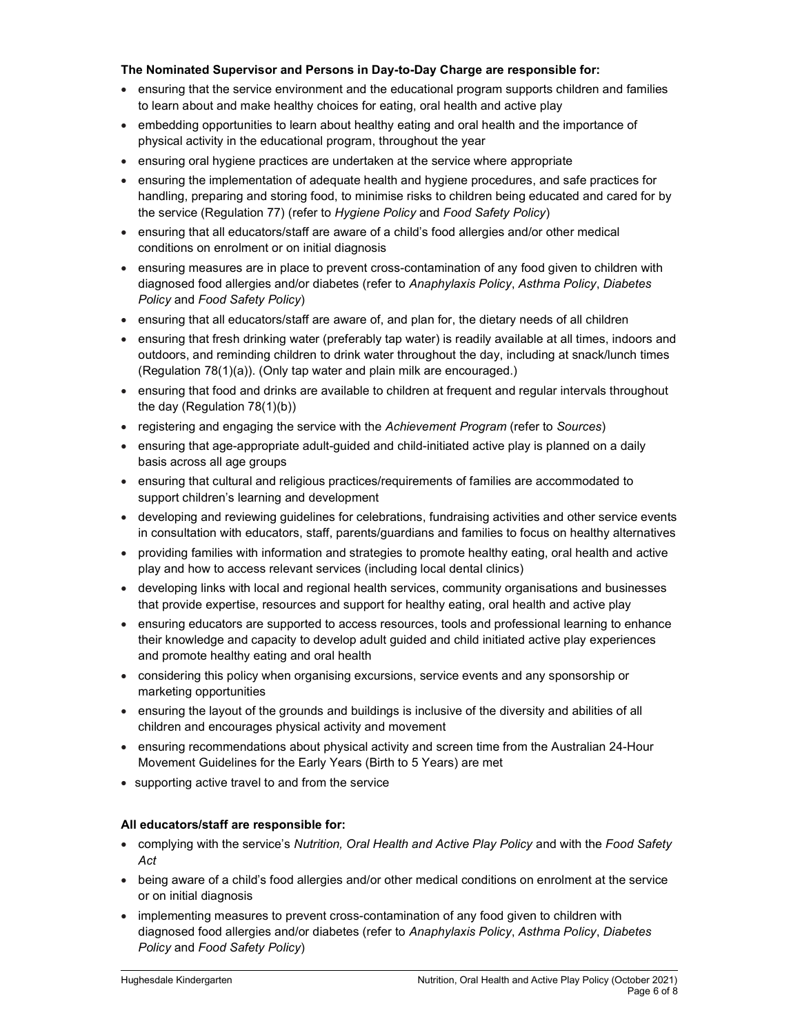#### The Nominated Supervisor and Persons in Day-to-Day Charge are responsible for:

- ensuring that the service environment and the educational program supports children and families to learn about and make healthy choices for eating, oral health and active play
- embedding opportunities to learn about healthy eating and oral health and the importance of physical activity in the educational program, throughout the year
- ensuring oral hygiene practices are undertaken at the service where appropriate
- ensuring the implementation of adequate health and hygiene procedures, and safe practices for handling, preparing and storing food, to minimise risks to children being educated and cared for by the service (Regulation 77) (refer to Hygiene Policy and Food Safety Policy)
- ensuring that all educators/staff are aware of a child's food allergies and/or other medical conditions on enrolment or on initial diagnosis
- ensuring measures are in place to prevent cross-contamination of any food given to children with diagnosed food allergies and/or diabetes (refer to Anaphylaxis Policy, Asthma Policy, Diabetes Policy and Food Safety Policy)
- ensuring that all educators/staff are aware of, and plan for, the dietary needs of all children
- ensuring that fresh drinking water (preferably tap water) is readily available at all times, indoors and outdoors, and reminding children to drink water throughout the day, including at snack/lunch times (Regulation 78(1)(a)). (Only tap water and plain milk are encouraged.)
- ensuring that food and drinks are available to children at frequent and regular intervals throughout the day (Regulation 78(1)(b))
- registering and engaging the service with the Achievement Program (refer to Sources)
- ensuring that age-appropriate adult-guided and child-initiated active play is planned on a daily basis across all age groups
- ensuring that cultural and religious practices/requirements of families are accommodated to support children's learning and development
- developing and reviewing guidelines for celebrations, fundraising activities and other service events in consultation with educators, staff, parents/guardians and families to focus on healthy alternatives
- providing families with information and strategies to promote healthy eating, oral health and active play and how to access relevant services (including local dental clinics)
- developing links with local and regional health services, community organisations and businesses that provide expertise, resources and support for healthy eating, oral health and active play
- ensuring educators are supported to access resources, tools and professional learning to enhance their knowledge and capacity to develop adult guided and child initiated active play experiences and promote healthy eating and oral health
- considering this policy when organising excursions, service events and any sponsorship or marketing opportunities
- ensuring the layout of the grounds and buildings is inclusive of the diversity and abilities of all children and encourages physical activity and movement
- ensuring recommendations about physical activity and screen time from the Australian 24-Hour Movement Guidelines for the Early Years (Birth to 5 Years) are met
- supporting active travel to and from the service

### All educators/staff are responsible for:

- complying with the service's Nutrition, Oral Health and Active Play Policy and with the Food Safety Act
- being aware of a child's food allergies and/or other medical conditions on enrolment at the service or on initial diagnosis
- implementing measures to prevent cross-contamination of any food given to children with diagnosed food allergies and/or diabetes (refer to Anaphylaxis Policy, Asthma Policy, Diabetes Policy and Food Safety Policy)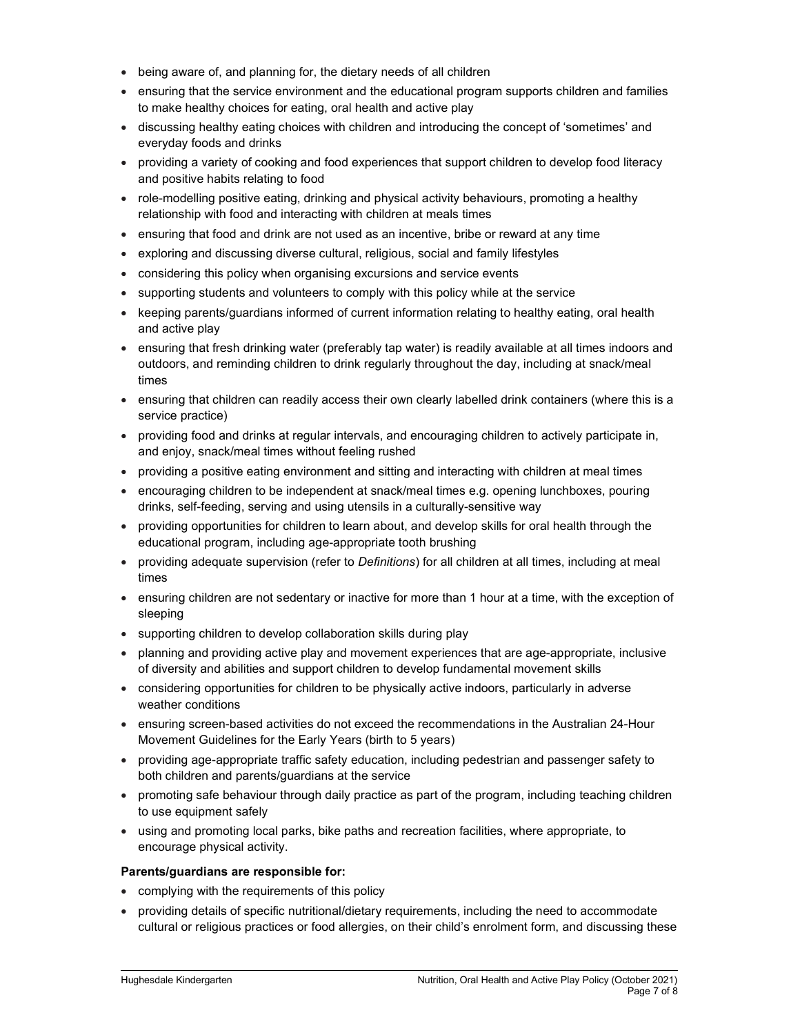- being aware of, and planning for, the dietary needs of all children
- ensuring that the service environment and the educational program supports children and families to make healthy choices for eating, oral health and active play
- discussing healthy eating choices with children and introducing the concept of 'sometimes' and everyday foods and drinks
- providing a variety of cooking and food experiences that support children to develop food literacy and positive habits relating to food
- role-modelling positive eating, drinking and physical activity behaviours, promoting a healthy relationship with food and interacting with children at meals times
- ensuring that food and drink are not used as an incentive, bribe or reward at any time
- exploring and discussing diverse cultural, religious, social and family lifestyles
- considering this policy when organising excursions and service events
- supporting students and volunteers to comply with this policy while at the service
- keeping parents/guardians informed of current information relating to healthy eating, oral health and active play
- ensuring that fresh drinking water (preferably tap water) is readily available at all times indoors and outdoors, and reminding children to drink regularly throughout the day, including at snack/meal times
- ensuring that children can readily access their own clearly labelled drink containers (where this is a service practice)
- providing food and drinks at regular intervals, and encouraging children to actively participate in, and enjoy, snack/meal times without feeling rushed
- providing a positive eating environment and sitting and interacting with children at meal times
- encouraging children to be independent at snack/meal times e.g. opening lunchboxes, pouring drinks, self-feeding, serving and using utensils in a culturally-sensitive way
- providing opportunities for children to learn about, and develop skills for oral health through the educational program, including age-appropriate tooth brushing
- providing adequate supervision (refer to Definitions) for all children at all times, including at meal times
- ensuring children are not sedentary or inactive for more than 1 hour at a time, with the exception of sleeping
- supporting children to develop collaboration skills during play
- planning and providing active play and movement experiences that are age-appropriate, inclusive of diversity and abilities and support children to develop fundamental movement skills
- considering opportunities for children to be physically active indoors, particularly in adverse weather conditions
- ensuring screen-based activities do not exceed the recommendations in the Australian 24-Hour Movement Guidelines for the Early Years (birth to 5 years)
- providing age-appropriate traffic safety education, including pedestrian and passenger safety to both children and parents/guardians at the service
- promoting safe behaviour through daily practice as part of the program, including teaching children to use equipment safely
- using and promoting local parks, bike paths and recreation facilities, where appropriate, to encourage physical activity.

#### Parents/guardians are responsible for:

- complying with the requirements of this policy
- providing details of specific nutritional/dietary requirements, including the need to accommodate cultural or religious practices or food allergies, on their child's enrolment form, and discussing these